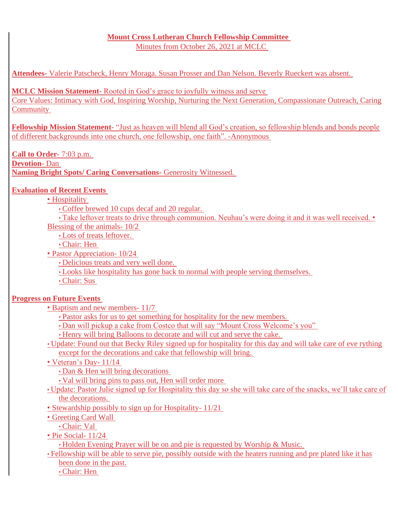# **Mount Cross Lutheran Church Fellowship Committee**

Minutes from October 26, 2021 at MCLC

**Attendees-** Valerie Patscheck, Henry Moraga. Susan Prosser and Dan Nelson. Beverly Rueckert was absent.

**MCLC Mission Statement-** Rooted in God's grace to joyfully witness and serve

Core Values: Intimacy with God, Inspiring Worship, Nurturing the Next Generation, Compassionate Outreach, Caring **Community** 

**Fellowship Mission Statement**- "Just as heaven will blend all God's creation, so fellowship blends and bonds people of different backgrounds into one church, one fellowship, one faith". -Anonymous

**Call to Order**- 7:03 p.m. **Devotion-** Dan **Naming Bright Spots/ Caring Conversations-** Generosity Witnessed.

# **Evaluation of Recent Events**

# • Hospitality

• Coffee brewed 10 cups decaf and 20 regular.

• Take leftover treats to drive through communion. Neuhau's were doing it and it was well received. • Blessing of the animals- 10/2

- Lots of treats leftover.
- Chair: Hen
- Pastor Appreciation- 10/24
	- Delicious treats and very well done.
	- Looks like hospitality has gone back to normal with people serving themselves.
	- Chair: Sus

# **Progress on Future Events**

- Baptism and new members- 11/7
	- Pastor asks for us to get something for hospitality for the new members.
	- Dan will pickup a cake from Costco that will say "Mount Cross Welcome's you"
	- Henry will bring Balloons to decorate and will cut and serve the cake.
- Update: Found out that Becky Riley signed up for hospitality for this day and will take care of eve rything except for the decorations and cake that fellowship will bring.
- Veteran's Day- 11/14
	- Dan & Hen will bring decorations
	- Val will bring pins to pass out, Hen will order more
- Update: Pastor Julie signed up for Hospitality this day so she will take care of the snacks, we'll take care of the decorations.
- Stewardship possibly to sign up for Hospitality- 11/21
- Greeting Card Wall
	- Chair: Val
- Pie Social- 11/24

• Holden Evening Prayer will be on and pie is requested by Worship & Music.

• Fellowship will be able to serve pie, possibly outside with the heaters running and pre plated like it has been done in the past.

• Chair: Hen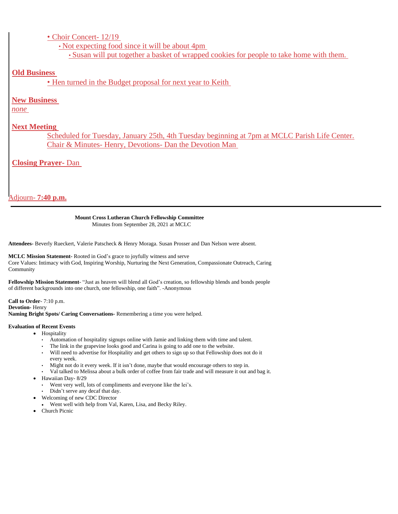# • Choir Concert- 12/19

• Not expecting food since it will be about 4pm

• Susan will put together a basket of wrapped cookies for people to take home with them.

# **Old Business**

• Hen turned in the Budget proposal for next year to Keith

# **New Business**

*none*

# **Next Meeting**

Scheduled for Tuesday, January 25th, 4th Tuesday beginning at 7pm at MCLC Parish Life Center. Chair & Minutes- Henry, Devotions- Dan the Devotion Man

# **Closing Prayer-** Dan

Adjourn- **7:40 p.m.**

# **Mount Cross Lutheran Church Fellowship Committee**

Minutes from September 28, 2021 at MCLC

**Attendees-** Beverly Rueckert, Valerie Patscheck & Henry Moraga. Susan Prosser and Dan Nelson were absent.

**MCLC Mission Statement-** Rooted in God's grace to joyfully witness and serve Core Values: Intimacy with God, Inspiring Worship, Nurturing the Next Generation, Compassionate Outreach, Caring Community

**Fellowship Mission Statement**- "Just as heaven will blend all God's creation, so fellowship blends and bonds people of different backgrounds into one church, one fellowship, one faith". -Anonymous

**Call to Order**- 7:10 p.m. **Devotion-** Henry **Naming Bright Spots/ Caring Conversations-** Remembering a time you were helped.

# **Evaluation of Recent Events**

- Hospitality
	- Automation of hospitality signups online with Jamie and linking them with time and talent.
	- The link in the grapevine looks good and Carina is going to add one to the website.
	- Will need to advertise for Hospitality and get others to sign up so that Fellowship does not do it every week.
	- Might not do it every week. If it isn't done, maybe that would encourage others to step in.
	- Val talked to Melissa about a bulk order of coffee from fair trade and will measure it out and bag it.
- Hawaiian Day- 8/29
	- Went very well, lots of compliments and everyone like the lei's.
	- Didn't serve any decaf that day.
	- Welcoming of new CDC Director
- Went well with help from Val, Karen, Lisa, and Becky Riley.
- Church Picnic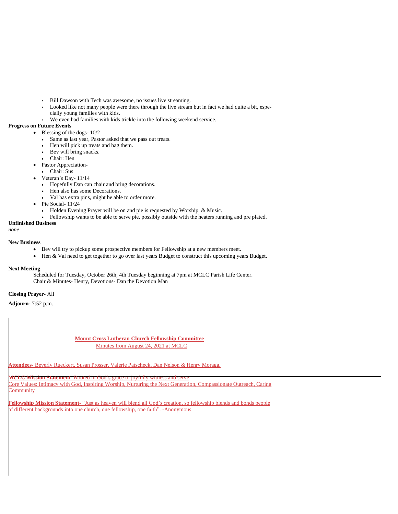- Bill Dawson with Tech was awesome, no issues live streaming.
- Looked like not many people were there through the live stream but in fact we had quite a bit, especially young families with kids.
- We even had families with kids trickle into the following weekend service.

### **Progress on Future Events**

- Blessing of the dogs-  $10/2$ 
	- Same as last year, Pastor asked that we pass out treats.
	- Hen will pick up treats and bag them.
	- Bev will bring snacks.
	- Chair: Hen
- Pastor Appreciation-

• Chair: Sus

- Veteran's Day- 11/14
- Hopefully Dan can chair and bring decorations.
- Hen also has some Decorations.
- Val has extra pins, might be able to order more.
- Pie Social- 11/24
	- Holden Evening Prayer will be on and pie is requested by Worship & Music.
	- Fellowship wants to be able to serve pie, possibly outside with the heaters running and pre plated.

# **Unfinished Business**

*none*

### **New Business**

- Bev will try to pickup some prospective members for Fellowship at a new members meet.
- Hen & Val need to get together to go over last years Budget to construct this upcoming years Budget.

# **Next Meeting**

Scheduled for Tuesday, October 26th, 4th Tuesday beginning at 7pm at MCLC Parish Life Center. Chair & Minutes- Henry, Devotions- Dan the Devotion Man

# **Closing Prayer-** All

**Adjourn-** 7:52 p.m.

**Mount Cross Lutheran Church Fellowship Committee** Minutes from August 24, 2021 at MCLC

**Attendees-** Beverly Rueckert, Susan Prosser, Valerie Patscheck, Dan Nelson & Henry Moraga.

**MCLC Mission Statement-** Rooted in God's grace to joyfully wit

**Core Values: Intimacy with God, Inspiring Worship, Nurturing the Next Generation, Compassionate Outreach, Caring Community** 

**Fellowship Mission Statement**- "Just as heaven will blend all God's creation, so fellowship blends and bonds people of different backgrounds into one church, one fellowship, one faith". -Anonymous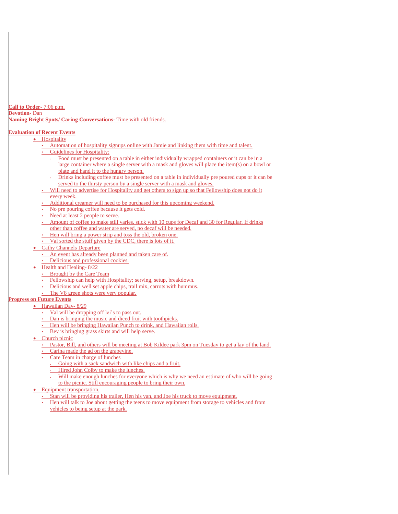**Call to Order**- 7:06 p.m. **Devotion-** Dan **Naming Bright Spots/ Caring Conversations-** Time with old friends.

# **Evaluation of Recent Events**

# • Hospitality

- Automation of hospitality signups online with Jamie and linking them with time and talent.
- Guidelines for Hospitality:
	- Food must be presented on a table in either individually wrapped containers or it can be in a large container where a single server with a mask and gloves will place the item(s) on a bowl or plate and hand it to the hungry person.
	- Drinks including coffee must be presented on a table in individually pre poured cups or it can be served to the thirsty person by a single server with a mask and gloves.
- Will need to advertise for Hospitality and get others to sign up so that Fellowship does not do it every week.
- 
- Additional creamer will need to be purchased for this upcoming weekend.
- No pre pouring coffee because it gets cold.
- Need at least 2 people to serve.
- Amount of coffee to make still varies. stick with 10 cups for Decaf and 30 for Regular. If drinks other than coffee and water are served, no decaf will be needed.
- Hen will bring a power strip and toss the old, broken one.
- Val sorted the stuff given by the CDC, there is lots of it.
- **Cathy Channels Departure** 
	- An event has already been planned and taken care of.
	- Delicious and professional cookies.
- Health and Healing- 8/22
- Brought by the Care Team
- Fellowship can help with Hospitality; serving, setup, breakdown.
- Delicious and well set apple chips, trail mix, carrots with hummus.
- The V8 green shots were very popular.

# **Progress on Future Events**

- Hawaiian Day- 8/29
	- Val will be dropping off lei's to pass out.
	- Dan is bringing the music and diced fruit with toothpicks.
	- Hen will be bringing Hawaiian Punch to drink, and Hawaiian rolls.
	- Bev is bringing grass skirts and will help serve.
	- Church picnic
		- Pastor, Bill, and others will be meeting at Bob Kildee park 3pm on Tuesday to get a lay of the land.
		- Carina made the ad on the grapevine.
		- Care Team in charge of lunches
			- Going with a sack sandwich with like chips and a fruit.
			- Hired John Colby to make the lunches.
			- Will make enough lunches for everyone which is why we need an estimate of who will be going to the picnic. Still encouraging people to bring their own.
	- Equipment transportation.
		- Stan will be providing his trailer, Hen his van, and Joe his truck to move equipment.
		- Hen will talk to Joe about getting the teens to move equipment from storage to vehicles and from vehicles to being setup at the park.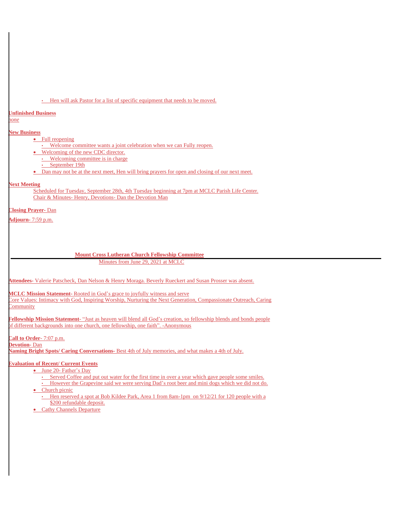### • Hen will ask Pastor for a list of specific equipment that needs to be moved.

#### **Unfinished Business**

*none*

## **New Business**

### • Full reopening

- Welcome committee wants a joint celebration when we can Fully reopen.
- Welcoming of the new CDC director.
- Welcoming committee is in charge
- September 19th
- Dan may not be at the next meet, Hen will bring prayers for open and closing of our next meet.

### **Next Meeting**

Scheduled for Tuesday, September 28th, 4th Tuesday beginning at 7pm at MCLC Parish Life Center. Chair & Minutes- Henry, Devotions- Dan the Devotion Man

### **Closing Prayer-** Dan

**Adjourn-** 7:59 p.m.

#### **Mount Cross Lutheran Church Fellowship Committee**

Minutes from June 29, 2021 at MCLC

**Attendees-** Valerie Patscheck, Dan Nelson & Henry Moraga. Beverly Rueckert and Susan Prosser was absent.

**MCLC Mission Statement-** Rooted in God's grace to joyfully witness and serve

Core Values: Intimacy with God, Inspiring Worship, Nurturing the Next Generation, Compassionate Outreach, Caring **Community** 

**Fellowship Mission Statement**- "Just as heaven will blend all God's creation, so fellowship blends and bonds people of different backgrounds into one church, one fellowship, one faith". -Anonymous

**Call to Order**- 7:07 p.m.

**Devotion-** Dan

**Naming Bright Spots/ Caring Conversations-** Best 4th of July memories, and what makes a 4th of July.

# **Evaluation of Recent/ Current Events**

- June 20- Father's Day
	- Served Coffee and put out water for the first time in over a year which gave people some smiles.
- However the Grapevine said we were serving Dad's root beer and mini dogs which we did not do. • Church picnic
- - Hen reserved a spot at Bob Kildee Park, Area 1 from 8am-1pm on 9/12/21 for 120 people with a \$200 refundable deposit.
- Cathy Channels Departure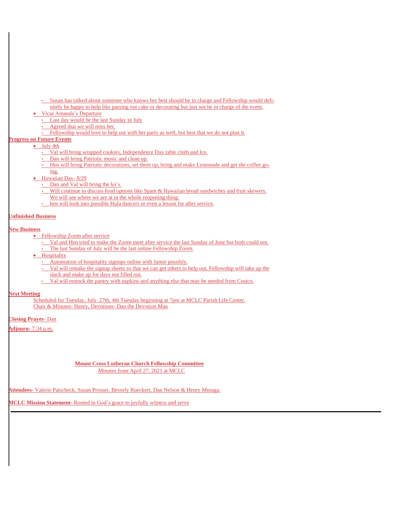- Susan has talked about someone who knows her best should be in charge and Fellowship would definitely be happy to help like passing out cake or decorating but just not be in charge of the event.
- Vicar Amanda's Departure
	- Last day would be the last Sunday in July
	- Agreed that we will miss her.
	- Fellowship would love to help out with her party as well, but best that we do not plan it.

# **Progress on Future Events**

- July 4th
	- Val will bring wrapped cookies, Independence Day table cloth and Ice.
	- Dan will bring Patriotic music and clean up.
	- Hen will bring Patriotic decorations, set them up, bring and make Lemonade and get the coffee go-

#### ing.

- Hawaiian Day- 8/29
	- Dan and Val will bring the lei's.
	- Will continue to discuss food options like Spam & Hawaiian bread sandwiches and fruit skewers. We will see where we are at in the whole reopening thing.
	- hen will look into possible Hula dancers or even a lesson for after service.

## **Unfinished Business**

### **New Business**

- Fellowship Zoom after service
	- Val and Hen tried to make the Zoom meet after service the last Sunday of June but both could not. • The last Sunday of July will be the last online Fellowship Zoom.
- **•** Hospitality
	- Automation of hospitality signups online with Jamie possibly.
	- Val will remake the signup sheets so that we can get others to help out, Fellowship will take up the slack and make up for days not filled out.
	- Val will restock the pantry with napkins and anything else that may be needed from Costco.

### **Next Meeting**

Scheduled for Tuesday, July. 27th, 4th Tuesday beginning at 7pm at MCLC Parish Life Center. Chair & Minutes- Henry, Devotions- Dan the Devotion Man

**Closing Prayer-** Dan

**Adjourn-** 7:34 p.m.

### **Mount Cross Lutheran Church Fellowship Committee** Minutes from April 27, 2021 at MCLC

**Attendees-** Valerie Patscheck, Susan Prosser, Beverly Rueckert, Dan Nelson & Henry Moraga.

**MCLC Mission Statement-** Rooted in God's grace to joyfully witness and serve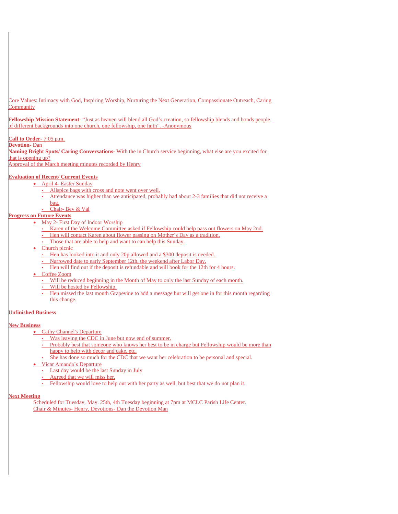Core Values: Intimacy with God, Inspiring Worship, Nurturing the Next Generation, Compassionate Outreach, Caring <sup>2</sup>ommunity

**Fellowship Mission Statement**- "Just as heaven will blend all God's creation, so fellowship blends and bonds people of different backgrounds into one church, one fellowship, one faith". -Anonymous

### **Call to Order**- 7:05 p.m.

#### **Devotion-** Dan

**Naming Bright Spots/ Caring Conversations-** With the in Church service beginning, what else are you excited for hat is opening up?

Approval of the March meeting minutes recorded by Henry

# **Evaluation of Recent/ Current Events**

- April 4- Easter Sunday
	- Allspice bags with cross and note went over well.
	- Attendance was higher than we anticipated, probably had about 2-3 families that did not receive a
	- bag.
	- Chair- Bev & Val

# **Progress on Future Events**

- May 2- First Day of Indoor Worship
	- Karen of the Welcome Committee asked if Fellowship could help pass out flowers on May 2nd.
	- Hen will contact Karen about flower passing on Mother's Day as a tradition.
	- Those that are able to help and want to can help this Sunday.
- Church picnic
	- Hen has looked into it and only 20p allowed and a \$300 deposit is needed.
	- Narrowed date to early September 12th, the weekend after Labor Day.
	- Hen will find out if the deposit is refundable and will book for the 12th for 4 hours.
- Coffee Zoom
	- Will be reduced beginning in the Month of May to only the last Sunday of each month.
	- Will be hosted by Fellowship.
	- Hen missed the last month Grapevine to add a message but will get one in for this month regarding this change.

## **Unfinished Business**

### **New Business**

- Cathy Channel's Departure
	- Was leaving the CDC in June but now end of summer.
	- Probably best that someone who knows her best to be in charge but Fellowship would be more than happy to help with decor and cake, etc.
	- She has done so much for the CDC that we want her celebration to be personal and special.
- Vicar Amanda's Departure
	- Last day would be the last Sunday in July
	- Agreed that we will miss her.
	- Fellowship would love to help out with her party as well, but best that we do not plan it.

### **Next Meeting**

Scheduled for Tuesday, May. 25th, 4th Tuesday beginning at 7pm at MCLC Parish Life Center. Chair & Minutes- Henry, Devotions- Dan the Devotion Man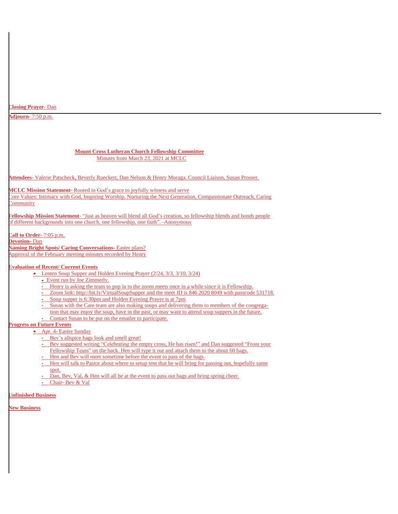### **Closing Prayer-** Dan

**Adjourn-** 7:50 p.m.

### **Mount Cross Lutheran Church Fellowship Committee** Minutes from March 23, 2021 at MCLC

**Attendees-** Valerie Patscheck, Beverly Rueckert, Dan Nelson & Henry Moraga. Council Liaison, Susan Prosser.

**MCLC Mission Statement-** Rooted in God's grace to joyfully witness and serve

Core Values: Intimacy with God, Inspiring Worship, Nurturing the Next Generation, Compassionate Outreach, Caring **Community** 

**Fellowship Mission Statement**- "Just as heaven will blend all God's creation, so fellowship blends and bonds people of different backgrounds into one church, one fellowship, one faith". -Anonymous

**Call to Order**- 7:05 p.m. **Devotion-** Dan **Naming Bright Spots/ Caring Conversations-** Easter plans? Approval of the February meeting minutes recorded by Henry

# **Evaluation of Recent/ Current Events**

- Lenten Soup Supper and Holden Evening Prayer (2/24, 3/3, 3/10, 3/24)
	- Event run by Joe Zimmerly.
	- Henry is asking the team to pop in to the zoom meets once in a while since it is Fellowship.
	- Zoom link: http://bit.ly/VirtualSoupSupper and the meet ID is 846 2020 8049 with passcode 531718.
	- Soup supper is 6:30pm and Holden Evening Prayer is at 7pm
	- Susan with the Care team are also making soups and [delivering](http://bit.ly/VirtualSoupSupper) them to members of the congrega-
	- tion that may enjoy the soup, have in the past, or may want to attend soup suppers in the future. • Contact Susan to be put on the emailer to participate.
- **Progress on Future Events**
	- Apr. 4- Easter Sunday
		- Bev's allspice bags look and smell great!
		- Bev suggested writing "Celebrating the empty cross, He has risen!" and Dan suggested "From your Fellowship Team" on the back. Hen will type it out and attach them to the about 60 bags.
		- Hen and Bev will meet sometime before the event to pass of the bags.
		- Hen will talk to Pastor about where to setup tent that he will bring for passing out, hopefully same spot.
		- Dan, Bev, Val, & Hen will all be at the event to pass out bags and bring spring cheer.
		- Chair- Bev & Val

### **Unfinished Business**

**New Business**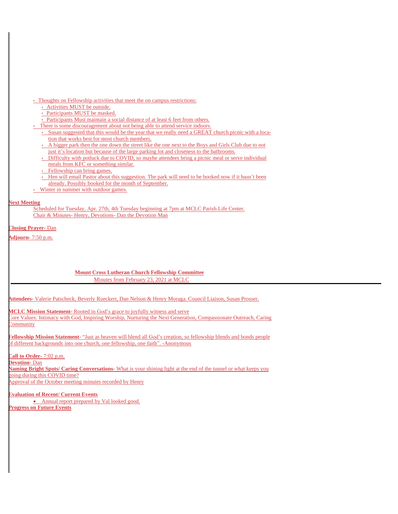# • Thoughts on Fellowship activities that meet the on campus restrictions:

- Activities MUST be outside.
- Participants MUST be masked.
- Participants Must maintain a social distance of at least 6 feet from others.
- There is some discouragement about not being able to attend service indoors.
- Susan suggested that this would be the year that we really need a GREAT church picnic with a location that works best for most church members.
- A bigger park then the one down the street like the one next to the Boys and Girls Club due to not just it's location but because of the large parking lot and closeness to the bathrooms.
- Difficulty with potluck due to COVID, so maybe attendees bring a picnic meal or serve individual meals from KFC or something similar.
- Fellowship can bring games.
- Hen will email Pastor about this suggestion. The park will need to be booked now if it hasn't been already. Possibly booked for the month of September.
- Winter in summer with outdoor games.

### **Next Meeting**

Scheduled for Tuesday, Apr. 27th, 4th Tuesday beginning at 7pm at MCLC Parish Life Center. Chair & Minutes- Henry, Devotions- Dan the Devotion Man

**Closing Prayer-** Dan

**Adjourn-** 7:50 p.m.

# **Mount Cross Lutheran Church Fellowship Committee** Minutes from February 23, 2021 at MCLC

**Attendees-** Valerie Patscheck, Beverly Rueckert, Dan Nelson & Henry Moraga. Council Liaison, Susan Prosser.

**MCLC Mission Statement-** Rooted in God's grace to joyfully witness and serve

Core Values: Intimacy with God, Inspiring Worship, Nurturing the Next Generation, Compassionate Outreach, Caring **Community** 

**Fellowship Mission Statement**- "Just as heaven will blend all God's creation, so fellowship blends and bonds people of different backgrounds into one church, one fellowship, one faith". -Anonymous

**Call to Order**- 7:02 p.m.

**Devotion-** Dan **Naming Bright Spots/ Caring Conversations-** What is your shining light at the end of the tunnel or what keeps you going during this COVID time? Approval of the October meeting minutes recorded by Henry

**Evaluation of Recent/ Current Events** • Annual report prepared by Val looked good. **Progress on Future Events**